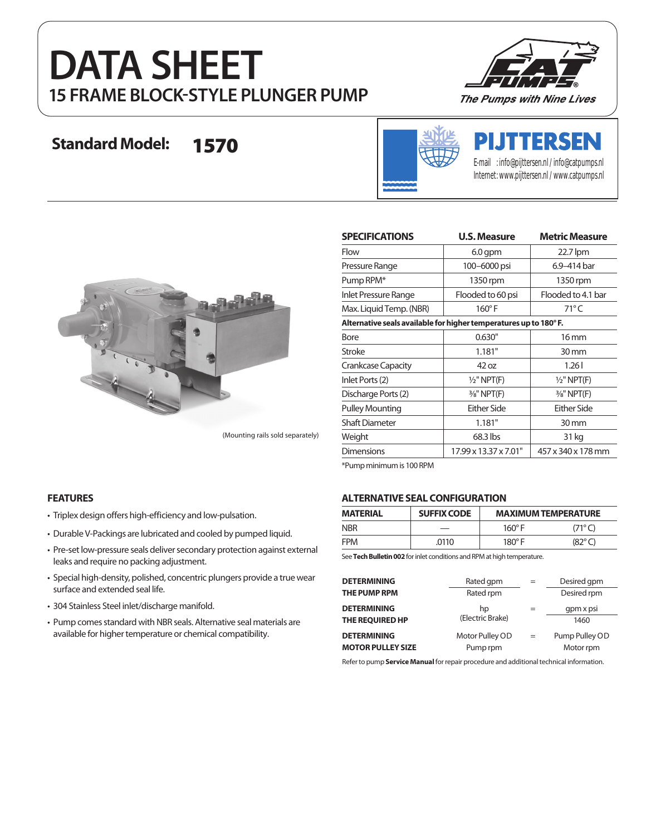# **DATA SHEET 15 FRAME BLOCK-STYLE PLUNGER PUMP**



## **Standard Model:** 1570



# **PIJTTERSEN**

E-mail : info@pijttersen.nl / info@catpumps.nl Internet: www.pijttersen.nl / www.catpumps.nl



(Mounting rails sold separately)

| <b>SPECIFICATIONS</b>                                            | <b>U.S. Measure</b>    | <b>Metric Measure</b>  |  |  |  |
|------------------------------------------------------------------|------------------------|------------------------|--|--|--|
| Flow                                                             | $6.0$ gpm              | 22.7 lpm               |  |  |  |
| Pressure Range                                                   | 100-6000 psi           | 6.9-414 bar            |  |  |  |
| Pump RPM*                                                        | 1350 rpm               | 1350 rpm               |  |  |  |
| Inlet Pressure Range                                             | Flooded to 60 psi      | Flooded to 4.1 bar     |  |  |  |
| Max. Liquid Temp. (NBR)                                          | $160^\circ$ F          | $71^{\circ}$ C         |  |  |  |
| Alternative seals available for higher temperatures up to 180°F. |                        |                        |  |  |  |
| <b>Bore</b>                                                      | 0.630"                 | 16 mm                  |  |  |  |
| Stroke                                                           | 1.181"                 | $30 \,\mathrm{mm}$     |  |  |  |
| <b>Crankcase Capacity</b>                                        | 42 oz                  | 1.261                  |  |  |  |
| Inlet Ports (2)                                                  | $1/2$ " NPT(F)         | $1/2$ " NPT(F)         |  |  |  |
| Discharge Ports (2)                                              | $\frac{3}{8}$ " NPT(F) | $\frac{3}{8}$ " NPT(F) |  |  |  |
| <b>Pulley Mounting</b>                                           | Either Side            | Either Side            |  |  |  |
| <b>Shaft Diameter</b>                                            | 1.181"                 | $30 \,\mathrm{mm}$     |  |  |  |
| Weight                                                           | 68.3 lbs               | 31 kg                  |  |  |  |
| <b>Dimensions</b>                                                | 17.99 x 13.37 x 7.01"  | 457 x 340 x 178 mm     |  |  |  |

\*Pump minimum is 100 RPM

#### **FEATURES**

- Triplex design offers high-efficiency and low-pulsation.
- Durable V-Packings are lubricated and cooled by pumped liquid.
- Pre-set low-pressure seals deliver secondary protection against external leaks and require no packing adjustment.
- Special high-density, polished, concentric plungers provide a true wear surface and extended seal life.
- 304 Stainless Steel inlet/discharge manifold.
- Pump comes standard with NBR seals. Alternative seal materials are available for higher temperature or chemical compatibility.

#### **ALTERNATIVE SEAL CONFIGURATION**

| <b>MATERIAL</b> | <b>SUFFIX CODE</b> | <b>MAXIMUM TEMPERATURE</b> |                 |  |
|-----------------|--------------------|----------------------------|-----------------|--|
| <b>NBR</b>      |                    | $160^\circ$ F              | (71°C)          |  |
| <b>FPM</b>      | .0110              | $180^\circ$ F              | $(82^{\circ}C)$ |  |

See **Tech Bulletin 002** for inlet conditions and RPM at high temperature.

| <b>DETERMINING</b>       | Rated gpm        |     | Desired gpm    |
|--------------------------|------------------|-----|----------------|
| <b>THE PUMP RPM</b>      | Rated rpm        |     | Desired rpm    |
| <b>DETERMINING</b>       | hp               |     | gpm x psi      |
| THE REQUIRED HP          | (Electric Brake) |     | 1460           |
| <b>DETERMINING</b>       | Motor Pulley OD  | $=$ | Pump Pulley OD |
| <b>MOTOR PULLEY SIZE</b> | Pump rpm         |     | Motor rpm      |

Refer to pump **Service Manual** for repair procedure and additional technical information.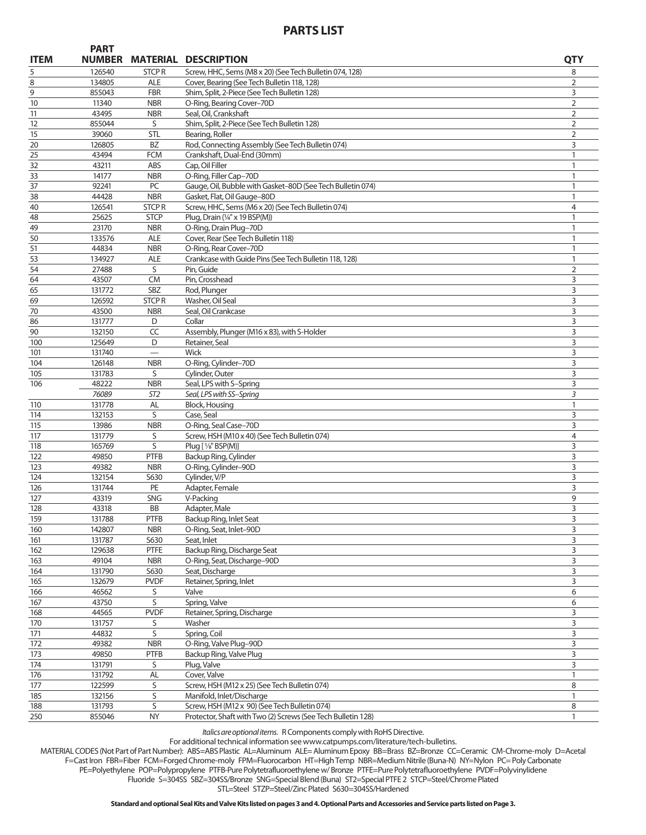### **PARTS LIST**

**PART** 

| <b>ITEM</b> | <b>PARI</b><br><b>NUMBER</b> |                   | <b>MATERIAL DESCRIPTION</b>                                   | <b>QTY</b>     |
|-------------|------------------------------|-------------------|---------------------------------------------------------------|----------------|
| 5           | 126540                       | <b>STCPR</b>      | Screw, HHC, Sems (M8 x 20) (See Tech Bulletin 074, 128)       | 8              |
| 8           | 134805                       | ALE               | Cover, Bearing (See Tech Bulletin 118, 128)                   | 2              |
| 9           | 855043                       | <b>FBR</b>        | Shim, Split, 2-Piece (See Tech Bulletin 128)                  | 3              |
| 10          | 11340                        | <b>NBR</b>        | O-Ring, Bearing Cover-70D                                     | $\overline{2}$ |
| 11          | 43495                        | <b>NBR</b>        | Seal, Oil, Crankshaft                                         | 2              |
| 12          | 855044                       | S                 | Shim, Split, 2-Piece (See Tech Bulletin 128)                  | $\overline{2}$ |
| 15          | 39060                        | STL               | Bearing, Roller                                               | 2              |
| 20          | 126805                       | BZ                | Rod, Connecting Assembly (See Tech Bulletin 074)              | 3              |
| 25          | 43494                        | <b>FCM</b>        | Crankshaft, Dual-End (30mm)                                   | 1              |
| 32          | 43211                        | ABS               | Cap, Oil Filler                                               | 1              |
| 33          | 14177                        | <b>NBR</b>        | O-Ring, Filler Cap-70D                                        | 1              |
| 37          | 92241                        | PC                | Gauge, Oil, Bubble with Gasket-80D (See Tech Bulletin 074)    | 1              |
| 38          | 44428                        | <b>NBR</b>        | Gasket, Flat, Oil Gauge-80D                                   | 1              |
| 40          | 126541                       | <b>STCPR</b>      | Screw, HHC, Sems (M6 x 20) (See Tech Bulletin 074)            | 4              |
| 48          | 25625                        | <b>STCP</b>       | Plug, Drain (1/4" x 19 BSP(M))                                | 1              |
| 49<br>50    | 23170<br>133576              | <b>NBR</b><br>ALE | O-Ring, Drain Plug-70D<br>Cover, Rear (See Tech Bulletin 118) | 1<br>1         |
| 51          | 44834                        | <b>NBR</b>        | O-Ring, Rear Cover-70D                                        | $\mathbf{1}$   |
| 53          | 134927                       | ALE               | Crankcase with Guide Pins (See Tech Bulletin 118, 128)        | 1              |
| 54          | 27488                        | S                 | Pin, Guide                                                    | $\overline{2}$ |
| 64          | 43507                        | <b>CM</b>         | Pin, Crosshead                                                | 3              |
| 65          | 131772                       | SBZ               | Rod, Plunger                                                  | 3              |
| 69          | 126592                       | <b>STCPR</b>      | Washer, Oil Seal                                              | 3              |
| 70          | 43500                        | <b>NBR</b>        | Seal, Oil Crankcase                                           | 3              |
| 86          | 131777                       | D                 | Collar                                                        | 3              |
| 90          | 132150                       | $\sf CC$          | Assembly, Plunger (M16 x 83), with S-Holder                   | 3              |
| 100         | 125649                       | D                 | Retainer, Seal                                                | 3              |
| 101         | 131740                       |                   | Wick                                                          | 3              |
| 104         | 126148                       | <b>NBR</b>        | O-Ring, Cylinder-70D                                          | 3              |
| 105         | 131783                       | S                 | Cylinder, Outer                                               | 3              |
| 106         | 48222                        | <b>NBR</b>        | Seal, LPS with S-Spring                                       | 3              |
|             | 76089                        | ST <sub>2</sub>   | Seal, LPS with SS-Spring                                      | 3              |
| 110         | 131778                       | AL                | <b>Block, Housing</b>                                         | 1              |
| 114         | 132153                       | S                 | Case, Seal                                                    | 3              |
| 115         | 13986                        | <b>NBR</b>        | O-Ring, Seal Case-70D                                         | 3              |
| 117         | 131779                       | S                 | Screw, HSH (M10 x 40) (See Tech Bulletin 074)                 | 4              |
| 118         | 165769                       | S                 | Plug [ 1/8" BSP(M)]                                           | 3              |
| 122         | 49850                        | <b>PTFB</b>       | Backup Ring, Cylinder                                         | 3              |
| 123         | 49382                        | <b>NBR</b>        | O-Ring, Cylinder-90D                                          | 3              |
| 124         | 132154                       | S630              | Cylinder, V/P                                                 | 3              |
| 126         | 131744                       | PE                | Adapter, Female                                               | 3              |
| 127         | 43319                        | <b>SNG</b>        | V-Packing                                                     | 9              |
| 128         | 43318                        | BB                | Adapter, Male                                                 | 3              |
| 159         | 131788                       | <b>PTFB</b>       | Backup Ring, Inlet Seat                                       | 3              |
| 160         | 142807                       | <b>NBR</b>        | O-Ring, Seat, Inlet-90D                                       | 3              |
| 161         | 131787                       | S630              | Seat, Inlet                                                   | 3              |
| 162         | 129638                       | PTFE              | Backup Ring, Discharge Seat                                   | 3              |
| 163         | 49104                        | <b>NBR</b>        | O-Ring, Seat, Discharge-90D                                   | 3              |
| 164         | 131790                       | S630              | Seat, Discharge                                               | 3              |
| 165<br>166  | 132679<br>46562              | <b>PVDF</b>       | Retainer, Spring, Inlet<br>Valve                              | 3<br>6         |
|             | 43750                        | S<br>S            | Spring, Valve                                                 |                |
| 167         |                              |                   | Retainer, Spring, Discharge                                   | 6              |
| 168<br>170  | 44565<br>131757              | <b>PVDF</b><br>S  | Washer                                                        | 3<br>3         |
| 171         | 44832                        | S                 | Spring, Coil                                                  | 3              |
| 172         | 49382                        | <b>NBR</b>        | O-Ring, Valve Plug-90D                                        | 3              |
| 173         | 49850                        | <b>PTFB</b>       | Backup Ring, Valve Plug                                       | 3              |
| 174         | 131791                       | S                 | Plug, Valve                                                   | 3              |
| 176         | 131792                       | <b>AL</b>         | Cover, Valve                                                  | $\mathbf{1}$   |
| 177         | 122599                       | S                 | Screw, HSH (M12 x 25) (See Tech Bulletin 074)                 | 8              |
| 185         | 132156                       | S                 | Manifold, Inlet/Discharge                                     | 1              |
| 188         | 131793                       | S                 | Screw, HSH (M12 x 90) (See Tech Bulletin 074)                 | 8              |
| 250         | 855046                       | <b>NY</b>         | Protector, Shaft with Two (2) Screws (See Tech Bulletin 128)  | $\mathbf{1}$   |

*Italics are optional items.* R Components comply with RoHS Directive.

For additional technical information see www.catpumps.com/literature/tech-bulletins.

MATERIAL CODES (Not Part of Part Number): ABS=ABS Plastic AL=Aluminum ALE= Aluminum Epoxy BB=Brass BZ=Bronze CC=Ceramic CM-Chrome-moly D=Acetal

F=Cast Iron FBR=Fiber FCM=Forged Chrome-moly FPM=Fluorocarbon HT=High Temp NBR=Medium Nitrile (Buna-N) NY=Nylon PC= Poly Carbonate

PE=Polyethylene POP=Polypropylene PTFB-Pure Polytetrafluoroethylene w/ Bronze PTFE=Pure Polytetrafluoroethylene PVDF=Polyvinylidene

Fluoride S=304SS SBZ=304SS/Bronze SNG=Special Blend (Buna) ST2=Special PTFE 2 STCP=Steel/Chrome Plated

STL=Steel STZP=Steel/Zinc Plated S630=304SS/Hardened